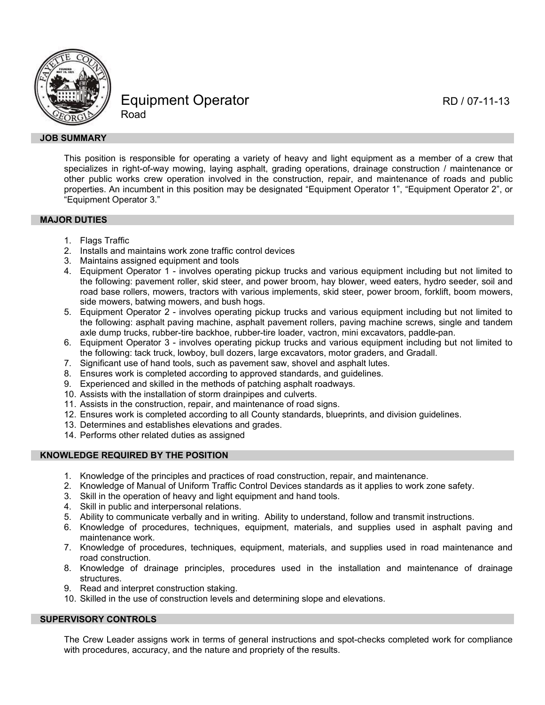

Equipment Operator RD / 07-11-13 Road

### **JOB SUMMARY**

This position is responsible for operating a variety of heavy and light equipment as a member of a crew that specializes in right-of-way mowing, laying asphalt, grading operations, drainage construction / maintenance or other public works crew operation involved in the construction, repair, and maintenance of roads and public properties. An incumbent in this position may be designated "Equipment Operator 1", "Equipment Operator 2", or "Equipment Operator 3."

### **MAJOR DUTIES**

- 1. Flags Traffic
- 2. Installs and maintains work zone traffic control devices
- 3. Maintains assigned equipment and tools
- 4. Equipment Operator 1 involves operating pickup trucks and various equipment including but not limited to the following: pavement roller, skid steer, and power broom, hay blower, weed eaters, hydro seeder, soil and road base rollers, mowers, tractors with various implements, skid steer, power broom, forklift, boom mowers, side mowers, batwing mowers, and bush hogs.
- 5. Equipment Operator 2 involves operating pickup trucks and various equipment including but not limited to the following: asphalt paving machine, asphalt pavement rollers, paving machine screws, single and tandem axle dump trucks, rubber-tire backhoe, rubber-tire loader, vactron, mini excavators, paddle-pan.
- 6. Equipment Operator 3 involves operating pickup trucks and various equipment including but not limited to the following: tack truck, lowboy, bull dozers, large excavators, motor graders, and Gradall.
- 7. Significant use of hand tools, such as pavement saw, shovel and asphalt lutes.
- 8. Ensures work is completed according to approved standards, and guidelines.
- 9. Experienced and skilled in the methods of patching asphalt roadways.
- 10. Assists with the installation of storm drainpipes and culverts.
- 11. Assists in the construction, repair, and maintenance of road signs.
- 12. Ensures work is completed according to all County standards, blueprints, and division guidelines.
- 13. Determines and establishes elevations and grades.
- 14. Performs other related duties as assigned

# **KNOWLEDGE REQUIRED BY THE POSITION**

- 1. Knowledge of the principles and practices of road construction, repair, and maintenance.
- 2. Knowledge of Manual of Uniform Traffic Control Devices standards as it applies to work zone safety.
- 3. Skill in the operation of heavy and light equipment and hand tools.
- 4. Skill in public and interpersonal relations.
- 5. Ability to communicate verbally and in writing. Ability to understand, follow and transmit instructions.
- 6. Knowledge of procedures, techniques, equipment, materials, and supplies used in asphalt paving and maintenance work.
- 7. Knowledge of procedures, techniques, equipment, materials, and supplies used in road maintenance and road construction.
- 8. Knowledge of drainage principles, procedures used in the installation and maintenance of drainage structures.
- 9. Read and interpret construction staking.
- 10. Skilled in the use of construction levels and determining slope and elevations.

# **SUPERVISORY CONTROLS**

The Crew Leader assigns work in terms of general instructions and spot-checks completed work for compliance with procedures, accuracy, and the nature and propriety of the results.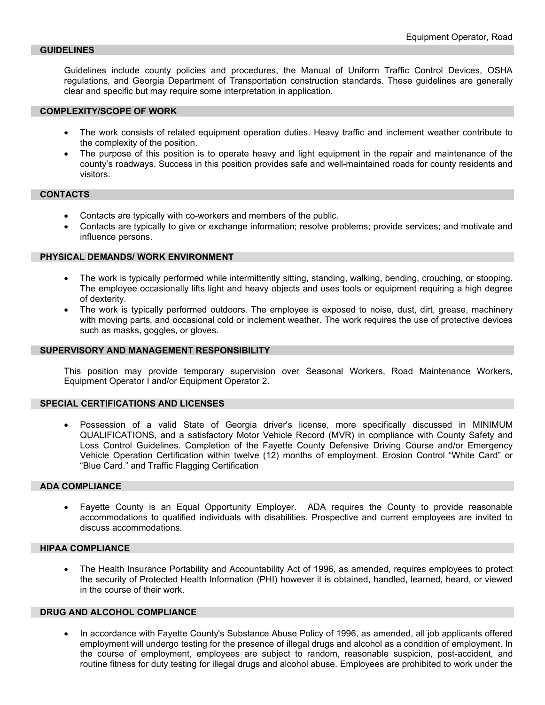#### **GUIDELINES**

Guidelines include county policies and procedures, the Manual of Uniform Traffic Control Devices, OSHA regulations, and Georgia Department of Transportation construction standards. These guidelines are generally clear and specific but may require some interpretation in application.

#### **COMPLEXITY/SCOPE OF WORK**

- The work consists of related equipment operation duties. Heavy traffic and inclement weather contribute to the complexity of the position.
- The purpose of this position is to operate heavy and light equipment in the repair and maintenance of the county's roadways. Success in this position provides safe and well-maintained roads for county residents and visitors.

#### **CONTACTS**

- Contacts are typically with co-workers and members of the public.
- Contacts are typically to give or exchange information; resolve problems; provide services; and motivate and influence persons.

#### **PHYSICAL DEMANDS/ WORK ENVIRONMENT**

- The work is typically performed while intermittently sitting, standing, walking, bending, crouching, or stooping. The employee occasionally lifts light and heavy objects and uses tools or equipment requiring a high degree of dexterity.
- The work is typically performed outdoors. The employee is exposed to noise, dust, dirt, grease, machinery with moving parts, and occasional cold or inclement weather. The work requires the use of protective devices such as masks, goggles, or gloves.

#### **SUPERVISORY AND MANAGEMENT RESPONSIBILITY**

This position may provide temporary supervision over Seasonal Workers, Road Maintenance Workers, Equipment Operator I and/or Equipment Operator 2.

#### **SPECIAL CERTIFICATIONS AND LICENSES**

• Possession of a valid State of Georgia driver's license, more specifically discussed in MINIMUM QUALIFICATIONS, and a satisfactory Motor Vehicle Record (MVR) in compliance with County Safety and Loss Control Guidelines. Completion of the Fayette County Defensive Driving Course and/or Emergency Vehicle Operation Certification within twelve (12) months of employment. Erosion Control "White Card" or "Blue Card." and Traffic Flagging Certification

### **ADA COMPLIANCE**

• Fayette County is an Equal Opportunity Employer. ADA requires the County to provide reasonable accommodations to qualified individuals with disabilities. Prospective and current employees are invited to discuss accommodations.

### **HIPAA COMPLIANCE**

• The Health Insurance Portability and Accountability Act of 1996, as amended, requires employees to protect the security of Protected Health Information (PHI) however it is obtained, handled, learned, heard, or viewed in the course of their work.

### **DRUG AND ALCOHOL COMPLIANCE**

• In accordance with Fayette County's Substance Abuse Policy of 1996, as amended, all job applicants offered employment will undergo testing for the presence of illegal drugs and alcohol as a condition of employment. In the course of employment, employees are subject to random, reasonable suspicion, post-accident, and routine fitness for duty testing for illegal drugs and alcohol abuse. Employees are prohibited to work under the